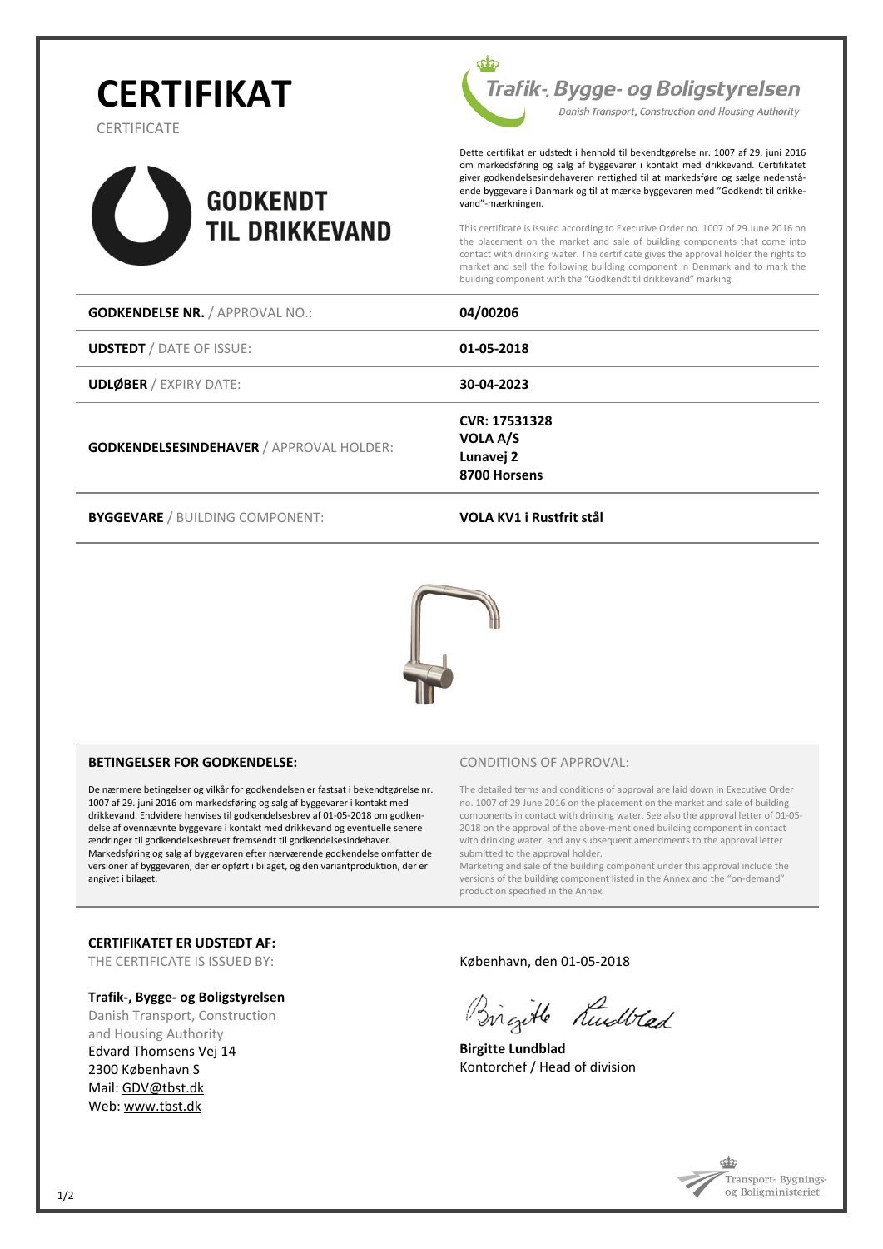# **CERTIFIKAT**

**CERTIFICATE** 





Dette certifikat er udstedt i henhold til bekendtgørelse nr. 1007 af 29. juni 2016 om markedsføring og salg af byggevarer i kontakt med drikkevand. Certifikatet giver godkendelsesindehaveren rettighed til at markedsføre og sælge nedenstående byggevare i Danmark og til at mærke byggevaren med "Godkendt til drikkevand"-mærkningen.

This certificate is issued according to Executive Order no. 1007 of 29 June 2016 on the placement on the market and sale of building components that come into contact with drinking water. The certificate gives the approval holder the rights to market and sell the following building component in Denmark and to mark the building component with the "Godkendt til drikkevand" marking.

| <b>GODKENDELSE NR. / APPROVAL NO.:</b>          | 04/00206                                               |
|-------------------------------------------------|--------------------------------------------------------|
| <b>UDSTEDT</b> / DATE OF ISSUE:                 | 01-05-2018                                             |
| <b>UDLØBER / EXPIRY DATE:</b>                   | 30-04-2023                                             |
| <b>GODKENDELSESINDEHAVER / APPROVAL HOLDER:</b> | CVR: 17531328<br>VOLA A/S<br>Lunavej 2<br>8700 Horsens |

**BYGGEVARE** / BUILDING COMPONENT: **VOLA KV1 i Rustfrit stål**



#### **BETINGELSER FOR GODKENDELSE:**

De nærmere betingelser og vilkår for godkendelsen er fastsat i bekendtgørelse nr. 1007 af 29. juni 2016 om markedsføring og salg af byggevarer i kontakt med drikkevand. Endvidere henvises til godkendelsesbrev af 01-05-2018 om godkendelse af ovennævnte byggevare i kontakt med drikkevand og eventuelle senere ændringer til godkendelsesbrevet fremsendt til godkendelsesindehaver. Markedsføring og salg af byggevaren efter nærværende godkendelse omfatter de versioner af byggevaren, der er opført i bilaget, og den variantproduktion, der er angivet i bilaget.

#### CONDITIONS OF APPROVAL:

The detailed terms and conditions of approval are laid down in Executive Order no. 1007 of 29 June 2016 on the placement on the market and sale of building components in contact with drinking water. See also the approval letter of 01-05- 2018 on the approval of the above-mentioned building component in contact with drinking water, and any subsequent amendments to the approval letter submitted to the approval holder.

Marketing and sale of the building component under this approval include the versions of the building component listed in the Annex and the "on-demand" production specified in the Annex.

#### **CERTIFIKATET ER UDSTEDT AF:**

THE CERTIFICATE IS ISSUED BY:

#### **Trafik-, Bygge- og Boligstyrelsen**

Danish Transport, Construction and Housing Authority Edvard Thomsens Vej 14 2300 København S Mail: [GDV@tbst.dk](mailto:GDV@tbst.dk)  Web: [www.tbst.dk](http://www.tbst.dk/)

#### København, den 01-05-2018

Birgitle Kullad

**Birgitte Lundblad** Kontorchef / Head of division